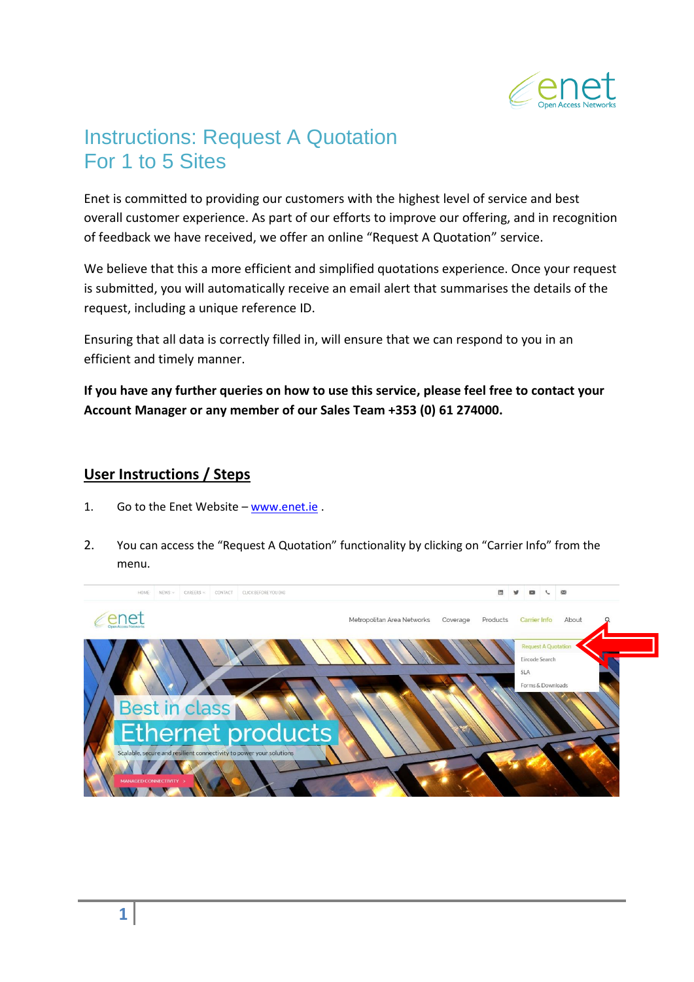

## Instructions: Request A Quotation For 1 to 5 Sites

Enet is committed to providing our customers with the highest level of service and best overall customer experience. As part of our efforts to improve our offering, and in recognition of feedback we have received, we offer an online "Request A Quotation" service.

We believe that this a more efficient and simplified quotations experience. Once your request is submitted, you will automatically receive an email alert that summarises the details of the request, including a unique reference ID.

Ensuring that all data is correctly filled in, will ensure that we can respond to you in an efficient and timely manner.

**If you have any further queries on how to use this service, please feel free to contact your Account Manager or any member of our Sales Team +353 (0) 61 274000.**

## **User Instructions / Steps**

- 1. Go to the Enet Website [www.enet.ie](http://www.enet.ie/) .
- 2. You can access the "Request A Quotation" functionality by clicking on "Carrier Info" from the menu.

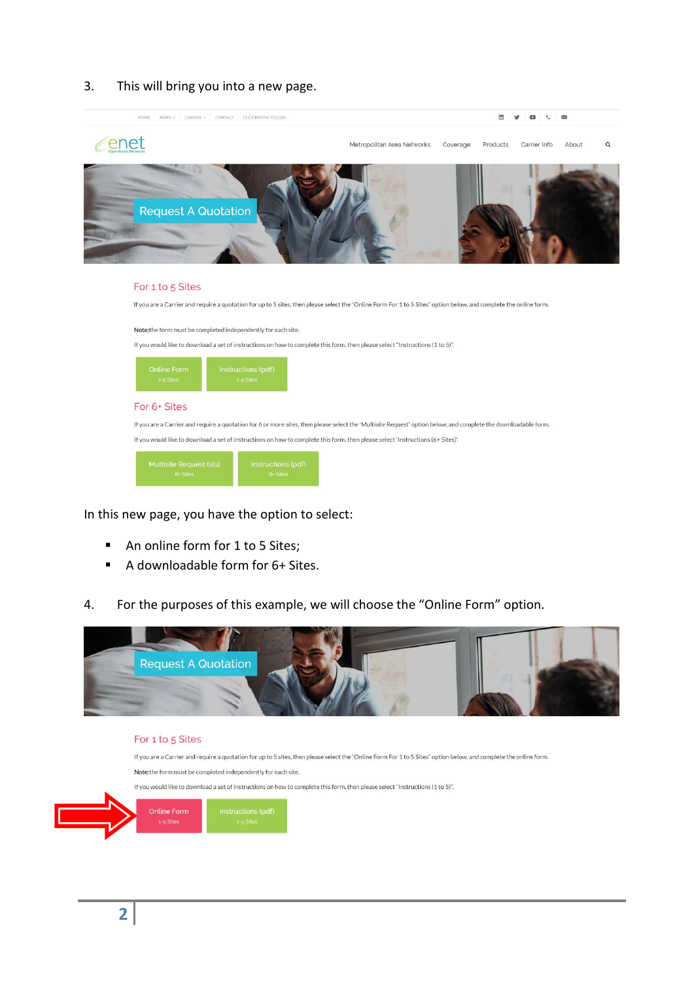## 3. This will bring you into a new page.



| Multisite Request (xls) | Instructions (pdf) |
|-------------------------|--------------------|
| $6+$ Sites              | 6+ Sites           |

In this new page, you have the option to select:

- An online form for 1 to 5 Sites;
- A downloadable form for 6+ Sites.
- 4. For the purposes of this example, we will choose the "Online Form" option.



## For 1 to 5 Sites

If you are a Carrier and require a quotation for up to 5 sites, then please select the "Online Form For 1 to 5 Sites" option below, and complete the online form. Note: the form must be completed independently for each site.

If you would like to download a set of instructions on how to complete this form, then please select "Instructions (1 to 5)".

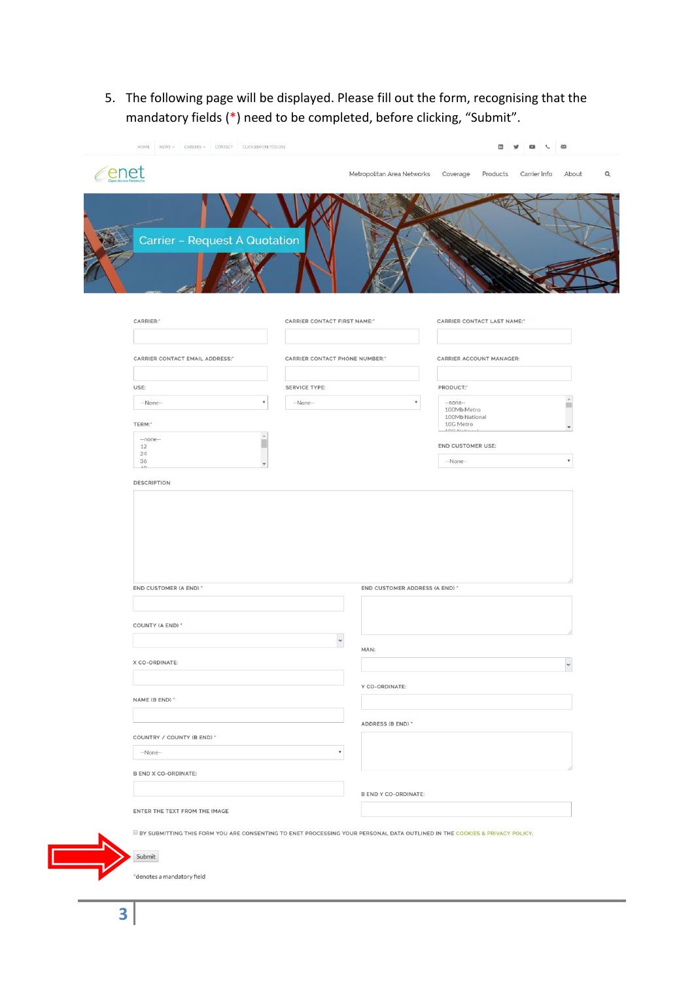5. The following page will be displayed. Please fill out the form, recognising that the mandatory fields (\*) need to be completed, before clicking, "Submit".

| <i>c</i> enet                         |                                                                                                                            | Metropolitan Area Networks Coverage<br>Products<br>Carrier Info                                                  |
|---------------------------------------|----------------------------------------------------------------------------------------------------------------------------|------------------------------------------------------------------------------------------------------------------|
| Carrier - Request A Quotation         |                                                                                                                            |                                                                                                                  |
| <b>CARRIER:</b> *                     | <b>CARRIER CONTACT FIRST NAME:</b> *                                                                                       | <b>CARRIER CONTACT LAST NAME:</b>                                                                                |
|                                       |                                                                                                                            |                                                                                                                  |
| <b>CARRIER CONTACT EMAIL ADDRESS:</b> | <b>CARRIER CONTACT PHONE NUMBER:</b>                                                                                       | <b>CARRIER ACCOUNT MANAGER:</b>                                                                                  |
| USE:                                  | <b>SERVICE TYPE:</b>                                                                                                       | PRODUCT:"                                                                                                        |
| $-None-$                              | --None--<br>٧                                                                                                              | --none--                                                                                                         |
| TERM:*                                |                                                                                                                            | 100Mb Metro<br>100Mb National<br>10G Metro<br>$A \cap \mathcal{F}^{\alpha} \rightarrow I \rightarrow L^{\alpha}$ |
| $-$ none $-$<br>12                    | $\mathbb A$<br>u                                                                                                           | <b>END CUSTOMER USE:</b>                                                                                         |
| 24<br>36                              | $\overline{\phantom{a}}$                                                                                                   | --None--                                                                                                         |
| $\Lambda$                             |                                                                                                                            |                                                                                                                  |
| <b>DESCRIPTION</b>                    |                                                                                                                            |                                                                                                                  |
| END CUSTOMER (A END) *                |                                                                                                                            | END CUSTOMER ADDRESS (A END) *                                                                                   |
| <b>COUNTY (A END) *</b>               |                                                                                                                            |                                                                                                                  |
|                                       | $\ddot{\phantom{0}}$                                                                                                       |                                                                                                                  |
| X CO-ORDINATE:                        | MAN:                                                                                                                       |                                                                                                                  |
|                                       |                                                                                                                            |                                                                                                                  |
| NAME (B END) *                        | Y CO-ORDINATE:                                                                                                             |                                                                                                                  |
|                                       | ADDRESS (B END) *                                                                                                          |                                                                                                                  |
| COUNTRY / COUNTY (B END) *            |                                                                                                                            |                                                                                                                  |
| $-None-$                              | $\overline{\mathbf{v}}$                                                                                                    |                                                                                                                  |
| <b>B END X CO-ORDINATE:</b>           |                                                                                                                            |                                                                                                                  |
|                                       | <b>B END Y CO-ORDINATE:</b>                                                                                                |                                                                                                                  |
| ENTER THE TEXT FROM THE IMAGE         |                                                                                                                            |                                                                                                                  |
|                                       | BY SUBMITTING THIS FORM YOU ARE CONSENTING TO ENET PROCESSING YOUR PERSONAL DATA OUTLINED IN THE COOKIES & PRIVACY POLICY. |                                                                                                                  |
| Submit                                |                                                                                                                            |                                                                                                                  |